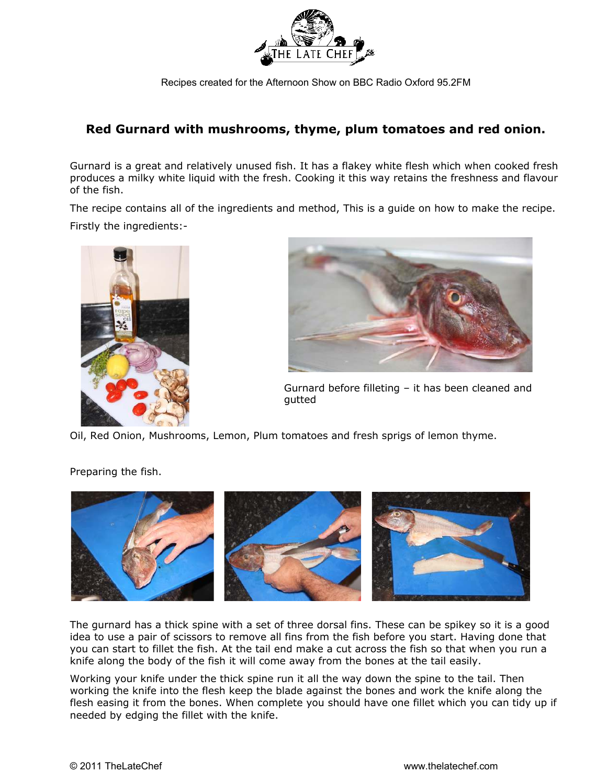

## **Red Gurnard with mushrooms, thyme, plum tomatoes and red onion.**

Gurnard is a great and relatively unused fish. It has a flakey white flesh which when cooked fresh produces a milky white liquid with the fresh. Cooking it this way retains the freshness and flavour of the fish.

The recipe contains all of the ingredients and method, This is a guide on how to make the recipe. Firstly the ingredients:-





Gurnard before filleting – it has been cleaned and gutted

Oil, Red Onion, Mushrooms, Lemon, Plum tomatoes and fresh sprigs of lemon thyme.

## Preparing the fish.



The gurnard has a thick spine with a set of three dorsal fins. These can be spikey so it is a good idea to use a pair of scissors to remove all fins from the fish before you start. Having done that you can start to fillet the fish. At the tail end make a cut across the fish so that when you run a knife along the body of the fish it will come away from the bones at the tail easily.

Working your knife under the thick spine run it all the way down the spine to the tail. Then working the knife into the flesh keep the blade against the bones and work the knife along the flesh easing it from the bones. When complete you should have one fillet which you can tidy up if needed by edging the fillet with the knife.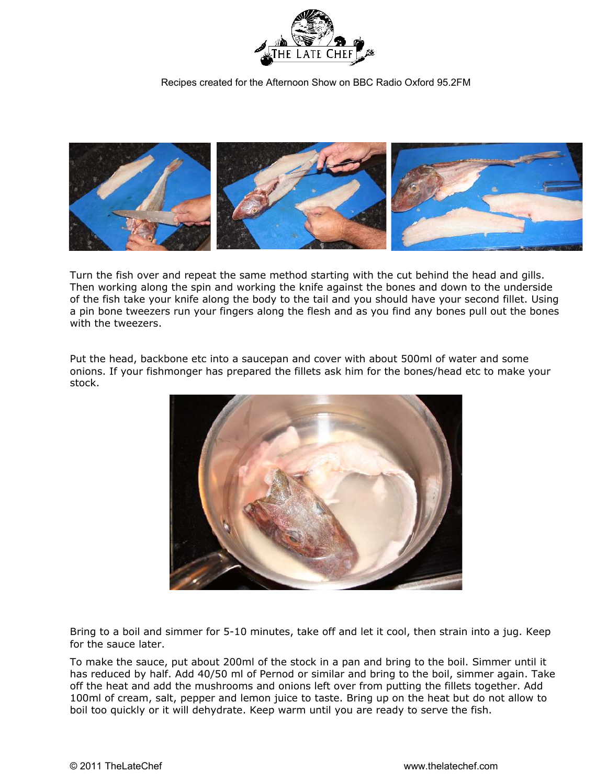



Turn the fish over and repeat the same method starting with the cut behind the head and gills. Then working along the spin and working the knife against the bones and down to the underside of the fish take your knife along the body to the tail and you should have your second fillet. Using a pin bone tweezers run your fingers along the flesh and as you find any bones pull out the bones with the tweezers.

Put the head, backbone etc into a saucepan and cover with about 500ml of water and some onions. If your fishmonger has prepared the fillets ask him for the bones/head etc to make your stock.



Bring to a boil and simmer for 5-10 minutes, take off and let it cool, then strain into a jug. Keep for the sauce later.

To make the sauce, put about 200ml of the stock in a pan and bring to the boil. Simmer until it has reduced by half. Add 40/50 ml of Pernod or similar and bring to the boil, simmer again. Take off the heat and add the mushrooms and onions left over from putting the fillets together. Add 100ml of cream, salt, pepper and lemon juice to taste. Bring up on the heat but do not allow to boil too quickly or it will dehydrate. Keep warm until you are ready to serve the fish.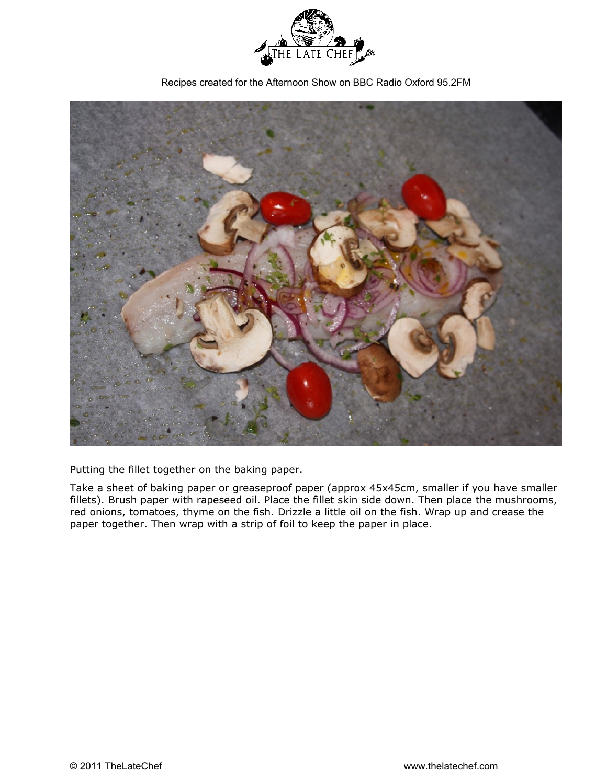

Recipes created for the Afternoon Show on BBC Radio Oxford 95.2FM



Putting the fillet together on the baking paper.

Take a sheet of baking paper or greaseproof paper (approx 45x45cm, smaller if you have smaller fillets). Brush paper with rapeseed oil. Place the fillet skin side down. Then place the mushrooms, red onions, tomatoes, thyme on the fish. Drizzle a little oil on the fish. Wrap up and crease the paper together. Then wrap with a strip of foil to keep the paper in place.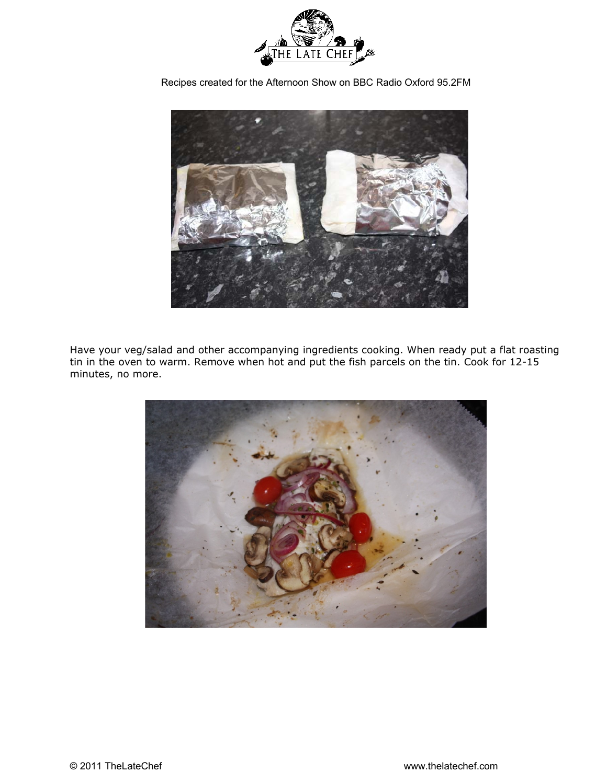



Have your veg/salad and other accompanying ingredients cooking. When ready put a flat roasting tin in the oven to warm. Remove when hot and put the fish parcels on the tin. Cook for 12-15 minutes, no more.